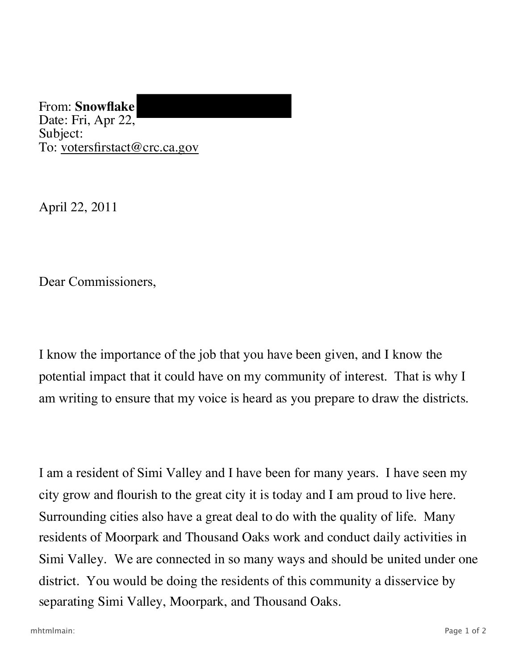From: **Snowflake** Date: Fri, Apr 22, Subject: To: votersfirstact@crc.ca.gov

April 22, 2011

Dear Commissioners,

 potential impact that it could have on my community of interest. That is why I I know the importance of the job that you have been given, and I know the am writing to ensure that my voice is heard as you prepare to draw the districts.

I am a resident of Simi Valley and I have been for many years. I have seen my city grow and flourish to the great city it is today and I am proud to live here. Surrounding cities also have a great deal to do with the quality of life. Many residents of Moorpark and Thousand Oaks work and conduct daily activities in Simi Valley. We are connected in so many ways and should be united under one district. You would be doing the residents of this community a disservice by separating Simi Valley, Moorpark, and Thousand Oaks.